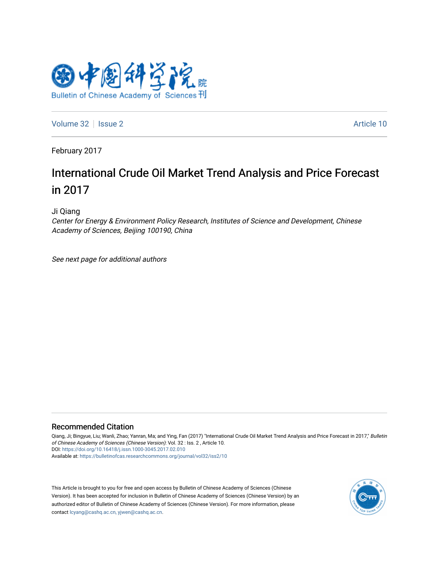

[Volume 32](https://bulletinofcas.researchcommons.org/journal/vol32) | [Issue 2](https://bulletinofcas.researchcommons.org/journal/vol32/iss2) Article 10

February 2017

# International Crude Oil Market Trend Analysis and Price Forecast in 2017

Ji Qiang

Center for Energy & Environment Policy Research, Institutes of Science and Development, Chinese Academy of Sciences, Beijing 100190, China

See next page for additional authors

### Recommended Citation

Qiang, Ji; Bingyue, Liu; Wanli, Zhao; Yanran, Ma; and Ying, Fan (2017) "International Crude Oil Market Trend Analysis and Price Forecast in 2017," Bulletin of Chinese Academy of Sciences (Chinese Version): Vol. 32 : Iss. 2 , Article 10. DOI: <https://doi.org/10.16418/j.issn.1000-3045.2017.02.010> Available at: [https://bulletinofcas.researchcommons.org/journal/vol32/iss2/10](https://bulletinofcas.researchcommons.org/journal/vol32/iss2/10?utm_source=bulletinofcas.researchcommons.org%2Fjournal%2Fvol32%2Fiss2%2F10&utm_medium=PDF&utm_campaign=PDFCoverPages) 

This Article is brought to you for free and open access by Bulletin of Chinese Academy of Sciences (Chinese Version). It has been accepted for inclusion in Bulletin of Chinese Academy of Sciences (Chinese Version) by an authorized editor of Bulletin of Chinese Academy of Sciences (Chinese Version). For more information, please contact [lcyang@cashq.ac.cn, yjwen@cashq.ac.cn](mailto:lcyang@cashq.ac.cn,%20yjwen@cashq.ac.cn).

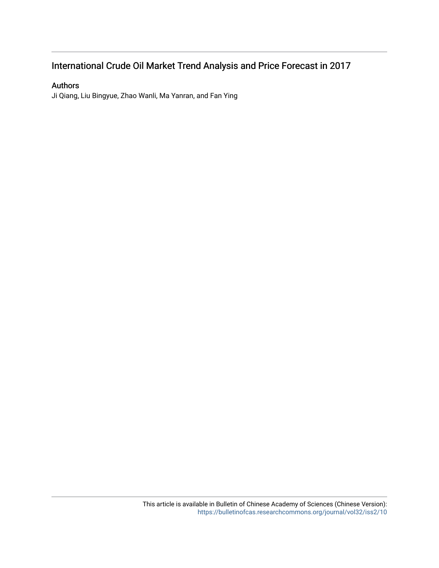## International Crude Oil Market Trend Analysis and Price Forecast in 2017

## Authors

Ji Qiang, Liu Bingyue, Zhao Wanli, Ma Yanran, and Fan Ying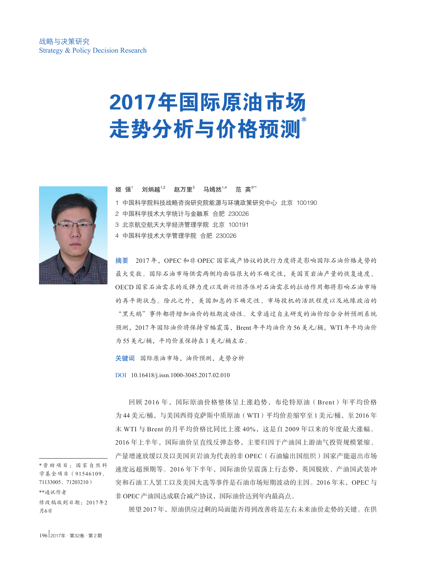# 2017年国际原油市场 走势分析与价格预测\*



姬 强<sup>1</sup> 刘炳越<sup>1,2</sup> 赵万里<sup>3</sup> 马嫣然<sup>1,4</sup> 范 英<sup>3\*\*</sup>

- 1 中国科学院科技战略咨询研究院能源与环境政策研究中心 北京 100190
- 2 中国科学技术大学统计与金融系 合肥 230026
- 3 北京航空航天大学经济管理学院 北京 100191
- 4 中国科学技术大学管理学院 合肥 230026

摘要 2017 年,OPEC 和非 OPEC 国家减产协议的执行力度将是影响国际石油价格走势的 最大变数。国际石油市场供需两侧均面临很大的不确定性,美国页岩油产量的恢复速度、 OECD 国家石油需求的反弹力度以及新兴经济体对石油需求的拉动作用都将影响石油市场 的再平衡状态。除此之外,美国加息的不确定性、市场投机的活跃程度以及地缘政治的 "黑天鹅"事件都将增加油价的短期波动性。文章通过自主研发的油价综合分析预测系统 预测,2017 年国际油价将保持窄幅震荡,Brent 年平均油价为 56 美元/桶,WTI 年平均油价 为 55 美元/桶,平均价差保持在 1 美元/桶左右。

关键词 国际原油市场,油价预测,走势分析

DOI 10.16418/j.issn.1000-3045.2017.02.010

回顾 2016年, 国际原油价格整体呈上涨趋势, 布伦特原油 (Brent)年平均价格 为 44 美元/桶, 与美国西得克萨斯中质原油 (WTI)平均价差缩窄至 1 美元/桶, 至 2016 年 末 WTI 与 Brent 的月平均价格比同比上涨 40%, 这是自 2009 年以来的年度最大涨幅。 2016 年上半年,国际油价呈直线反弹态势,主要归因于产油国上游油气投资规模紧缩、

产量增速放缓以及以美国页岩油为代表的非 OPEC(石油输出国组织)国家产能退出市场 速度远超预期等。2016年下半年,国际油价呈震荡上行态势,英国脱欧、产油国武装冲 突和石油工人罢工以及美国大选等事件是石油市场短期波动的主因。2016 年末,OPEC 与 非 OPEC 产油国达成联合减产协议,国际油价达到年内最高点。

\* 资助项目:国家自然科 学基金项目(91546109、 71133005、71203210) \*\*通讯作者 修改稿收到日期:2017年2 月6日

展望 2017 年,原油供应过剩的局面能否得到改善将是左右未来油价走势的关键。在供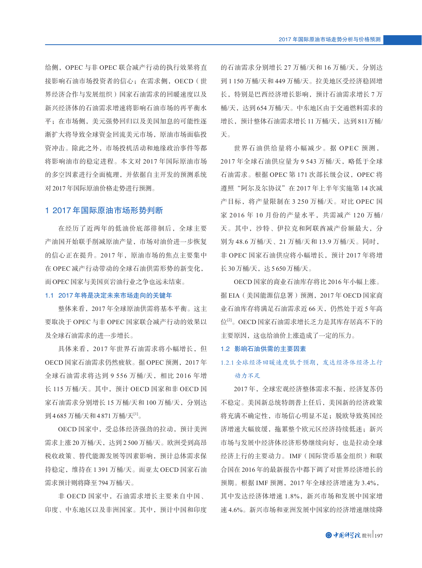给侧,OPEC 与非 OPEC 联合减产行动的执行效果将直 接影响石油市场投资者的信心;在需求侧,OECD(世 界经济合作与发展组织)国家石油需求的回暖速度以及 新兴经济体的石油需求增速将影响石油市场的再平衡水 平;在市场侧,美元强势回归以及美国加息的可能性逐 渐扩大将导致全球资金回流美元市场,原油市场面临投 资冲击。除此之外,市场投机活动和地缘政治事件等都 将影响油市的稳定进程。本文对 2017 年国际原油市场 的多空因素进行全面梳理,并依据自主开发的预测系统 对2017 年国际原油价格走势进行预测。

### 1 2017年国际原油市场形势判断

在经历了近两年的低油价底部徘徊后,全球主要 产油国开始联手削减原油产量,市场对油价进一步恢复 的信心正在提升。2017 年,原油市场的焦点主要集中 在 OPEC 减产行动带动的全球石油供需形势的新变化, 而OPEC 国家与美国页岩油行业之争也远未结束。

#### 1.1 2017年将是决定未来市场走向的关键年

整体来看,2017 年全球原油供需将基本平衡。这主 要取决于 OPEC 与非 OPEC 国家联合减产行动的效果以 及全球石油需求的进一步增长。

具体来看,2017 年世界石油需求将小幅增长,但 OECD 国家石油需求仍然疲软。据 OPEC 预测,2017 年 全球石油需求将达到 9 556 万桶/天,相比 2016 年增 长 115 万桶/天。其中,预计 OECD 国家和非 OECD 国 家石油需求分别增长 15 万桶/天和 100 万桶/天,分别达 到4685万桶/天和4871万桶/天[1]。

OECD 国家中,受总体经济强劲的拉动,预计美洲 需求上涨 20 万桶/天,达到 2 500 万桶/天。欧洲受到高昂 税收政策、替代能源发展等因素影响,预计总体需求保 持稳定,维持在 1 391 万桶/天。而亚太 OECD 国家石油 需求预计则将降至794 万桶/天。

非 OECD 国家中,石油需求增长主要来自中国、 印度、中东地区以及非洲国家。其中,预计中国和印度 的石油需求分别增长 27 万桶/天和 16 万桶/天,分别达 到 1 150 万桶/天和 449 万桶/天。拉美地区受经济稳固增 长,特别是巴西经济增长影响,预计石油需求增长 7 万 桶/天,达到 654 万桶/天。中东地区由于交通燃料需求的 增长,预计整体石油需求增长 11 万桶/天,达到 811万桶/ 天。

世界石油供给量将小幅减少。据 OPEC 预测, 2017年全球石油供应量为 9 543 万桶/天, 略低于全球 石油需求。根据 OPEC 第 171 次部长级会议,OPEC 将 遵照"阿尔及尔协议"在 2017 年上半年实施第 14 次减 产目标,将产量限制在 3 250 万桶/天。对比 OPEC 国 家 2016年10月份的产量水平,共需减产 120 万桶/ 天。其中,沙特、伊拉克和阿联酋减产份额最大,分 别为 48.6 万桶/天、21 万桶/天和 13.9 万桶/天。同时, 非 OPEC 国家石油供应将小幅增长,预计 2017 年将增 长 30 万桶/天,达5 650 万桶/天。

OECD 国家的商业石油库存将比 2016 年小幅上涨。 据 EIA(美国能源信息署)预测,2017 年 OECD 国家商 业石油库存将满足石油需求近 66 天,仍然处于近 5 年高 位[2]。OECD 国家石油需求增长乏力是其库存居高不下的 主要原因,这也给油价上涨造成了一定的压力。

#### 1.2 影响石油供需的主要因素

## 1.2.1 全球经济回暖速度低于预期,发达经济体经济上行 动力不足

2017 年,全球宏观经济整体需求不振,经济复苏仍 不稳定。美国新总统特朗普上任后,美国新的经济政策 将充满不确定性,市场信心明显不足;脱欧导致英国经 济增速大幅放缓,拖累整个欧元区经济持续低迷;新兴 市场与发展中经济体经济形势继续向好,也是拉动全球 经济上行的主要动力。 IMF(国际货币基金组织)和联 合国在 2016 年的最新报告中都下调了对世界经济增长的 预期。根据 IMF 预测,2017 年全球经济增速为 3.4%, 其中发达经济体增速 1.8%,新兴市场和发展中国家增 速 4.6%。新兴市场和亚洲发展中国家的经济增速继续降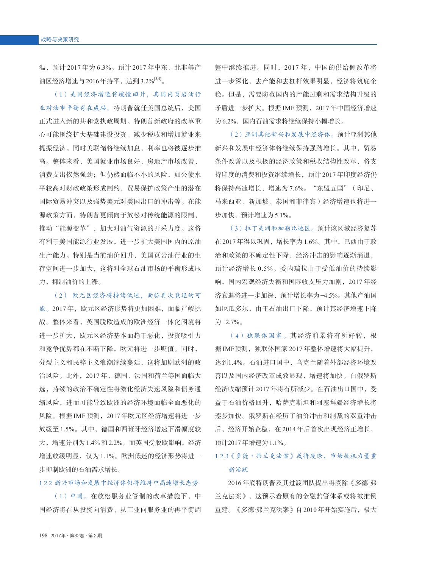温,预计 2017 年为 6.3%。预计 2017 年中东、北非等产 油区经济增速与 2016年持平, 达到 3.2%<sup>[3,4]</sup>。

(1)美国经济增速将缓慢回升,其国内页岩油行 业对油市平衡存在威胁。特朗普就任美国总统后,美国 正式进入新的共和党执政周期。特朗普新政府的改革重 心可能围绕扩大基础建设投资、减少税收和增加就业来 提振经济。同时美联储将继续加息,利率也将被逐步推 高。整体来看,美国就业市场良好,房地产市场改善, 消费支出依然强劲;但仍然面临不小的风险,如公债水 平较高对财政政策形成制约,贸易保护政策产生的潜在 国际贸易冲突以及强势美元对美国出口的冲击等。在能 源政策方面,特朗普更倾向于放松对传统能源的限制, 推动"能源变革",加大对油气资源的开采力度。这将 有利于美国能源行业发展,进一步扩大美国国内的原油 生产能力。特别是当前油价回升,美国页岩油行业的生 存空间进一步加大,这将对全球石油市场的平衡形成压 力,抑制油价的上涨。

(2) 欧元区经济将持续低迷,面临再次衰退的可 能。2017 年,欧元区经济形势将更加困难,面临严峻挑 战。整体来看,英国脱欧造成的欧洲经济一体化困境将 进一步扩大,欧元区经济基本面趋于恶化,投资吸引力 和竞争优势都在不断下降,欧元将进一步贬值。同时, 分裂主义和民粹主义浪潮继续蔓延,这将加剧欧洲的政 治风险。此外,2017 年,德国、法国和荷兰等国面临大 选,持续的政治不确定性将激化经济失速风险和债务通 缩风险,进而可能导致欧洲的经济环境面临全面恶化的 风险。根据 IMF 预测,2017 年欧元区经济增速将进一步 放缓至 1.5%。其中,德国和西班牙经济增速下滑幅度较 大, 增速分别为 1.4% 和 2.2%。而英国受脱欧影响, 经济 增速放缓明显,仅为 1.1%。欧洲低迷的经济形势将进一 步抑制欧洲的石油需求增长。

#### 1.2.2 新兴市场和发展中经济体仍将维持中高速增长态势

(1)中国。在放松服务业管制的改革措施下,中 国经济将在从投资向消费、从工业向服务业的再平衡调

整中继续推进。同时,2017 年,中国的供给侧改革将 进一步深化,去产能和去杠杆效果明显,经济将筑底企 稳。但是,需要防范国内的产能过剩和需求结构升级的 矛盾进一步扩大。根据 IMF 预测,2017 年中国经济增速 为6.2%,国内石油需求将继续保持小幅增长。

(2)亚洲其他新兴和发展中经济体。预计亚洲其他 新兴和发展中经济体将继续保持强劲增长。其中,贸易 条件改善以及积极的经济政策和税收结构性改革,将支 持印度的消费和投资继续增长,预计 2017 年印度经济仍 将保持高速增长,增速为 7.6%。"东盟五国"(印尼、 马来西亚、新加坡、泰国和菲律宾)经济增速也将进一 步加快,预计增速为5.1%。

(3)拉丁美洲和加勒比地区。预计该区域经济复苏 在 2017 年得以巩固,增长率为 1.6%。其中,巴西由于政 治和政策的不确定性下降,经济冲击的影响逐渐消退, 预计经济增长 0.5%。委内瑞拉由于受低油价的持续影 响,国内宏观经济失衡和国际收支压力加剧,2017 年经 济衰退将进一步加深, 预计增长率为-4.5%。其他产油国 如厄瓜多尔,由于石油出口下降,预计其经济增速下降 <sup>为</sup>\_ 2.7%。

(4)独联体国家。其经济前景将有所好转,根 据 IMF预测, 独联体国家 2017 年整体增速将大幅提升, 达到1.4%。石油进口国中,乌克兰随着外部经济环境改 善以及国内经济改革成效显现,增速将加快。白俄罗斯 经济收缩预计 2017 年将有所减少。在石油出口国中,受 益于石油价格回升,哈萨克斯坦和阿塞拜疆经济增长将 逐步加快。俄罗斯在经历了油价冲击和制裁的双重冲击 后,经济开始企稳,在 2014 年后首次出现经济正增长, 预计2017 年增速为1.1%。

## 1.2.3《多德·弗兰克法案》或将废除,市场投机力量重 新活跃

2016 年底特朗普及其过渡团队提出将废除《多德·弗 兰克法案》,这预示着原有的金融监管体系或将被推倒 重建。《多德·弗兰克法案》自 2010 年开始实施后,极大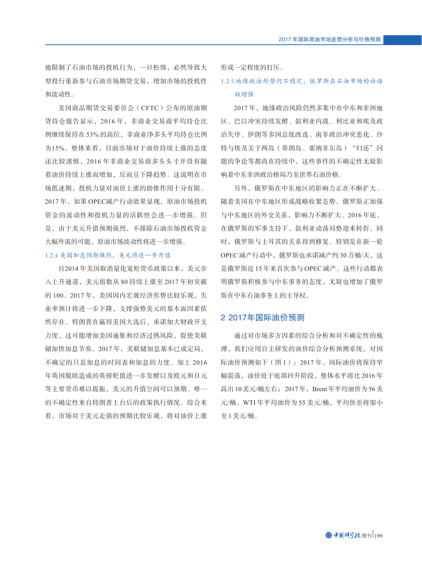地限制了石油市场的投机行为,一旦松绑,必然导致大 型投行重新参与石油市场期货交易,增加市场的投机性 和波动性。

美国商品期货交易委员会(CFTC)公布的原油期 货持仓报告显示,2016 年,非商业交易商平均持仓比 例继续保持在 53% 的高位,非商业净多头平均持仓比例 为15%。整体来看,目前市场对于油价持续上涨的态度 还比较谨慎,2016 年非商业交易商多头头寸并没有随 着油价持续上涨而增加,反而呈下降趋势。这说明在市 场低迷期,投机力量对油价上涨的助推作用十分有限。 2017年, 如果 OPEC减产行动效果显现, 原油市场投机 资金的流动性和投机力量的活跃性会进一步增强。但 是,由于美元升值预期强烈,不排除石油市场投机资金 大幅外流的可能,原油市场波动性将进一步增强。

#### 1.2.4 美国加息预期强烈,美元将进一步升值

自2014 年美国取消量化宽松货币政策以来,美元步 入上升通道,美元指数从 80 持续上涨至 2017 年初突破 的 100。2017年,美国国内宏观经济形势比较乐观,失 业率预计将进一步下降,支撑强势美元的基本面因素依 然存在。特朗普在赢得美国大选后,承诺加大财政开支 力度,这可能增加美国通胀和经济过热风险,促使美联 储加快加息节奏。2017 年,美联储加息基本已成定局, 不确定的只是加息的时间表和加息的力度。加上 2016 年英国脱欧造成的英镑贬值进一步发酵以及欧元和日元 等主要货币难以提振,美元的升值空间可以预期。唯一 的不确定性来自特朗普上台后的政策执行情况。综合来 看,市场对于美元走强的预期比较乐观,将对油价上涨 形成一定程度的打压。

## 1.2.5 地缘政治形势仍不稳定, 俄罗斯在石油市场的话语 权增强

2017 年,地缘政治风险仍然多集中在中东和非洲地 区。巴以冲突持续发酵、叙利亚内战、利比亚和埃及政 治失序、伊朗等多国总统改选、南非政治冲突恶化、沙 特与埃及关于两岛(蒂朗岛、塞纳菲尔岛)"归还"问 题的争论等都尚在持续中,这些事件的不确定性无疑影 响着中东非洲政治格局乃至世界石油价格。

另外,俄罗斯在中东地区的影响力正在不断扩大。 随着美国在中东地区形成战略收紧态势,俄罗斯正加强 与中东地区的外交关系,影响力不断扩大。2016 年底, 在俄罗斯的军事支持下,叙利亚动荡局势迎来转折。同 时,俄罗斯与土耳其的关系得到修复。特别是在新一轮 OPEC 减产行动中,俄罗斯也承诺减产约 30 万桶/天,这 是俄罗斯近 15 年来首次参与 OPEC 减产。这些行动都表 明俄罗斯积极参与中东事务的态度,无疑也增加了俄罗 斯在中东石油事务上的主导权。

## 2 2017年国际油价预测

通过对市场多方因素的综合分析和对不确定性的梳 理,我们应用自主研发的油价综合分析预测系统,对国 际油价预测如下(图 1):2017 年,国际油价将保持窄 幅震荡,油价处于底部回升阶段,整体水平将比 2016 年 高出 10 美元/桶左右; 2017年, Brent 年平均油价为 56 美 元/桶, WTI 年平均油价为 55 美元/桶, 平均价差将缩小 至1 美元/桶。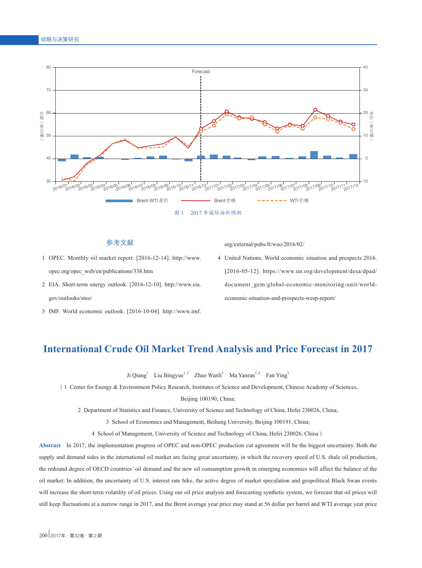

## 参考文献

- 1 OPEC. Monthly oil market report. [2016-12-14]. http://www. opec.org/opec\_web/en/publications/338.htm
- 2 EIA. Short-term energy outlook. [2016-12-10]. http://www.eia. gov/outlooks/steo/
- 3 IMF. World economic outlook. [2016-10-04]. http://www.imf.

org/external/pubs/ft/weo/2016/02/

 4 United Nations. World economic situation and prospects 2016. [2016-05-12]. https://www.un.org/development/desa/dpad/ document\_gem/global-economic-monitoring-unit/worldeconomic-situation-and-prospects-wesp-report/

## **International Crude Oil Market Trend Analysis and Price Forecast in 2017**

Ji Qiang<sup>1</sup> Liu Bingyue<sup>1,2</sup> Zhao Wanli<sup>3</sup> Ma Yanran<sup>1,4</sup> Fan Ying<sup>3</sup>

(1 Center for Energy & Environment Policy Research, Institutes of Science and Development, Chinese Academy of Sciences, Beijing 100190, China;

2 Department of Statistics and Finance, University of Science and Technology of China, Hefei 230026, China;

3 School of Economics and Management, Beihang University, Beijing 100191, China;

4 School of Management, University of Science and Technology of China, Hefei 230026, China)

**Abstract** In 2017, the implementation progress of OPEC and non-OPEC production cut agreement will be the biggest uncertainty. Both the supply and demand sides in the international oil market are facing great uncertainty, in which the recovery speed of U.S. shale oil production, the redound degree of OECD countries' oil demand and the new oil consumption growth in emerging economies will affect the balance of the oil market. In addition, the uncertainty of U.S. interest rate hike, the active degree of market speculation and geopolitical Black Swan events will increase the short-term volatility of oil prices. Using our oil price analysis and forecasting synthetic system, we forecast that oil prices will still keep fluctuations at a narrow range in 2017, and the Brent average year price may stand at 56 dollar per barrel and WTI average year price